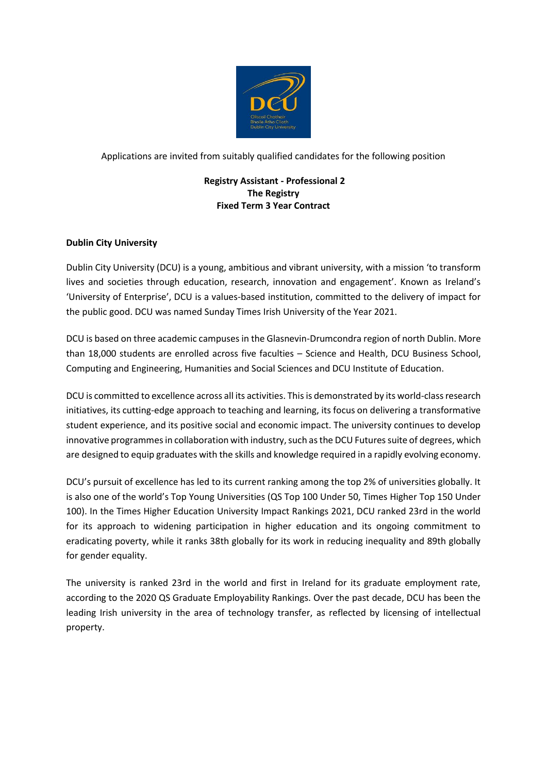

Applications are invited from suitably qualified candidates for the following position

# **Registry Assistant - Professional 2 The Registry Fixed Term 3 Year Contract**

# **Dublin City University**

Dublin City University (DCU) is a young, ambitious and vibrant university, with a mission 'to transform lives and societies through education, research, innovation and engagement'. Known as Ireland's 'University of Enterprise', DCU is a values-based institution, committed to the delivery of impact for the public good. DCU was named Sunday Times Irish University of the Year 2021.

DCU is based on three academic campuses in the Glasnevin-Drumcondra region of north Dublin. More than 18,000 students are enrolled across five faculties – Science and Health, DCU Business School, Computing and Engineering, Humanities and Social Sciences and DCU Institute of Education.

DCU is committed to excellence across all its activities. This is demonstrated by its world-class research initiatives, its cutting-edge approach to teaching and learning, its focus on delivering a transformative student experience, and its positive social and economic impact. The university continues to develop innovative programmes in collaboration with industry, such as the DCU Futures suite of degrees, which are designed to equip graduates with the skills and knowledge required in a rapidly evolving economy.

DCU's pursuit of excellence has led to its current ranking among the top 2% of universities globally. It is also one of the world's Top Young Universities (QS Top 100 Under 50, Times Higher Top 150 Under 100). In the Times Higher Education University Impact Rankings 2021, DCU ranked 23rd in the world for its approach to widening participation in higher education and its ongoing commitment to eradicating poverty, while it ranks 38th globally for its work in reducing inequality and 89th globally for gender equality.

The university is ranked 23rd in the world and first in Ireland for its graduate employment rate, according to the 2020 QS Graduate Employability Rankings. Over the past decade, DCU has been the leading Irish university in the area of technology transfer, as reflected by licensing of intellectual property.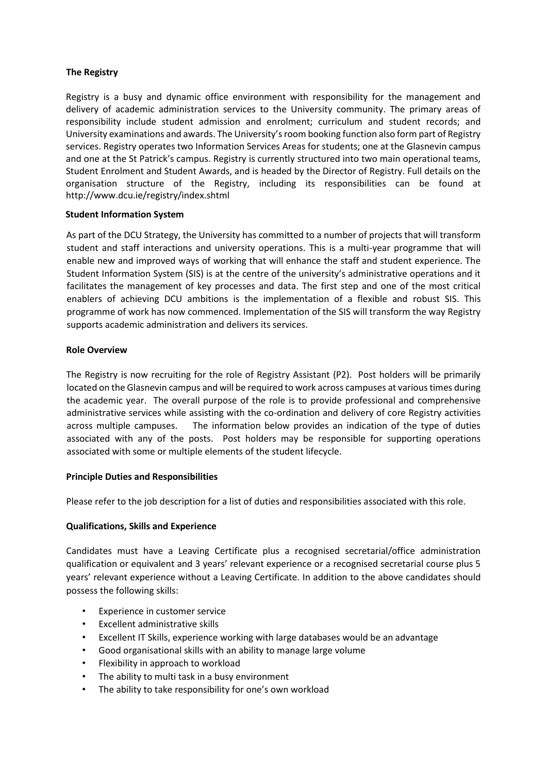## **The Registry**

Registry is a busy and dynamic office environment with responsibility for the management and delivery of academic administration services to the University community. The primary areas of responsibility include student admission and enrolment; curriculum and student records; and University examinations and awards. The University's room booking function also form part of Registry services. Registry operates two Information Services Areas for students; one at the Glasnevin campus and one at the St Patrick's campus. Registry is currently structured into two main operational teams, Student Enrolment and Student Awards, and is headed by the Director of Registry. Full details on the organisation structure of the Registry, including its responsibilities can be found at <http://www.dcu.ie/registry/index.shtml>

## **Student Information System**

As part of the DCU Strategy, the University has committed to a number of projects that will transform student and staff interactions and university operations. This is a multi-year programme that will enable new and improved ways of working that will enhance the staff and student experience. The Student Information System (SIS) is at the centre of the university's administrative operations and it facilitates the management of key processes and data. The first step and one of the most critical enablers of achieving DCU ambitions is the implementation of a flexible and robust SIS. This programme of work has now commenced. Implementation of the SIS will transform the way Registry supports academic administration and delivers its services.

## **Role Overview**

The Registry is now recruiting for the role of Registry Assistant (P2). Post holders will be primarily located on the Glasnevin campus and will be required to work across campuses at various times during the academic year. The overall purpose of the role is to provide professional and comprehensive administrative services while assisting with the co-ordination and delivery of core Registry activities across multiple campuses. The information below provides an indication of the type of duties associated with any of the posts. Post holders may be responsible for supporting operations associated with some or multiple elements of the student lifecycle.

#### **Principle Duties and Responsibilities**

Please refer to the job description for a list of duties and responsibilities associated with this role.

## **Qualifications, Skills and Experience**

Candidates must have a Leaving Certificate plus a recognised secretarial/office administration qualification or equivalent and 3 years' relevant experience or a recognised secretarial course plus 5 years' relevant experience without a Leaving Certificate. In addition to the above candidates should possess the following skills:

- Experience in customer service
- Excellent administrative skills
- Excellent IT Skills, experience working with large databases would be an advantage
- Good organisational skills with an ability to manage large volume
- Flexibility in approach to workload
- The ability to multi task in a busy environment
- The ability to take responsibility for one's own workload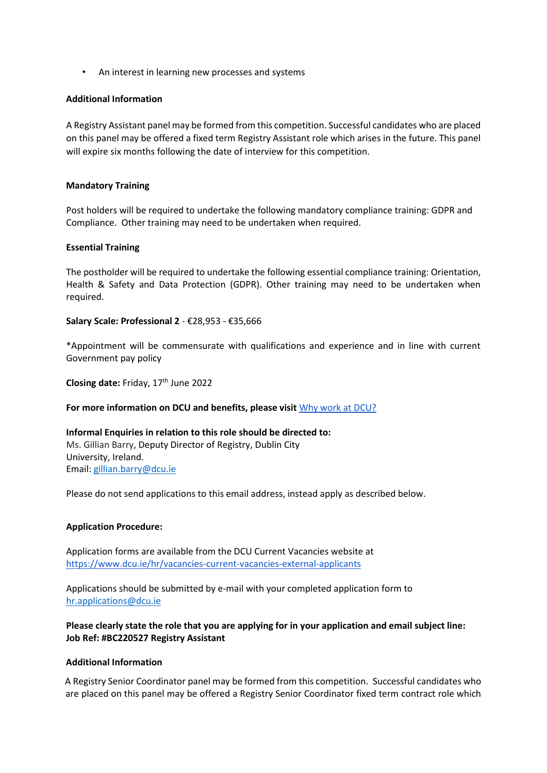• An interest in learning new processes and systems

#### **Additional Information**

A Registry Assistant panel may be formed from this competition. Successful candidates who are placed on this panel may be offered a fixed term Registry Assistant role which arises in the future. This panel will expire six months following the date of interview for this competition.

#### **Mandatory Training**

Post holders will be required to undertake the following mandatory compliance training: GDPR and Compliance. Other training may need to be undertaken when required.

## **Essential Training**

The postholder will be required to undertake the following essential compliance training: Orientation, Health & Safety and Data Protection (GDPR). Other training may need to be undertaken when required.

#### **Salary Scale: Professional 2** - €28,953 - €35,666

\*Appointment will be commensurate with qualifications and experience and in line with current Government pay policy

Closing date: Friday, 17<sup>th</sup> June 2022

## **For more information on DCU and benefits, please visit** [Why work at DCU?](https://www.dcu.ie/hr/why-work-dcu)

**Informal Enquiries in relation to this role should be directed to:** Ms. Gillian Barry, Deputy Director of Registry, Dublin City University, Ireland. Email: [gillian.barry@dcu.ie](mailto:gillian.barry@dcu.ie)

Please do not send applications to this email address, instead apply as described below.

## **Application Procedure:**

Application forms are available from the DCU Current Vacancies website at <https://www.dcu.ie/hr/vacancies-current-vacancies-external-applicants>

Applications should be submitted by e-mail with your completed application form to [hr.applications@dcu.ie](mailto:hr.applications@dcu.ie) 

**Please clearly state the role that you are applying for in your application and email subject line: Job Ref: #BC220527 Registry Assistant**

#### **Additional Information**

A Registry Senior Coordinator panel may be formed from this competition. Successful candidates who are placed on this panel may be offered a Registry Senior Coordinator fixed term contract role which